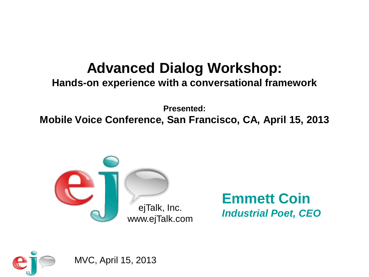### **Advanced Dialog Workshop:**

### **Hands-on experience with a conversational framework**

**Presented: Mobile Voice Conference, San Francisco, CA, April 15, 2013**



**Emmett Coin** ejTalk, Inc. **Industrial Poet, CEO** 

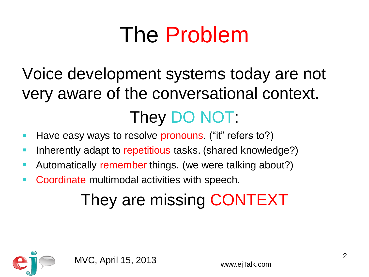## The Problem

### Voice development systems today are not very aware of the conversational context. They DO NOT:

- Have easy ways to resolve pronouns. ("it" refers to?)
- **Inherently adapt to repetitious tasks. (shared knowledge?)**
- **Automatically remember things. (we were talking about?)**
- **Coordinate multimodal activities with speech.**

### They are missing CONTEXT

![](_page_1_Picture_7.jpeg)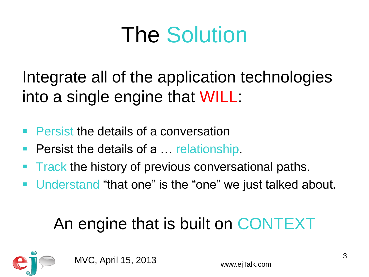## The Solution

Integrate all of the application technologies into a single engine that WILL:

- **Persist the details of a conversation**
- **Persist the details of a ... relationship.**
- Track the history of previous conversational paths.
- Understand "that one" is the "one" we just talked about.

### An engine that is built on CONTEXT

![](_page_2_Picture_7.jpeg)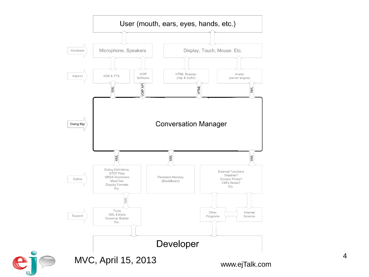![](_page_3_Figure_0.jpeg)

e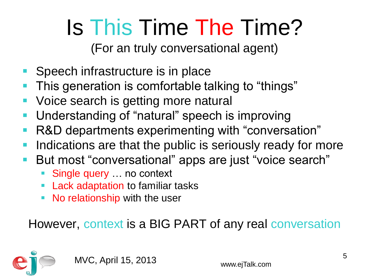# Is This Time The Time?

(For an truly conversational agent)

- Speech infrastructure is in place
- This generation is comfortable talking to "things"
- Voice search is getting more natural
- Understanding of "natural" speech is improving
- R&D departments experimenting with "conversation"
- Indications are that the public is seriously ready for more
- But most "conversational" apps are just "voice search"
	- Single query … no context
	- Lack adaptation to familiar tasks
	- No relationship with the user

However, context is a BIG PART of any real conversation

![](_page_4_Picture_13.jpeg)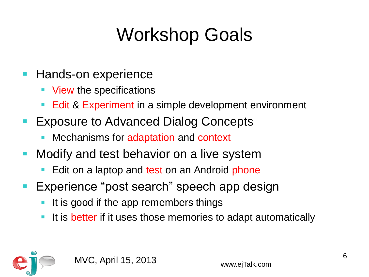### Workshop Goals

- **Hands-on experience** 
	- View the specifications
	- Edit & Experiment in a simple development environment
- **Exposure to Advanced Dialog Concepts** 
	- Mechanisms for adaptation and context
- **Modify and test behavior on a live system** 
	- Edit on a laptop and test on an Android phone
- Experience "post search" speech app design
	- It is good if the app remembers things
	- It is better if it uses those memories to adapt automatically

![](_page_5_Picture_11.jpeg)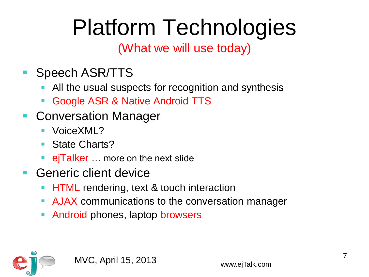# Platform Technologies

### (What we will use today)

- **Speech ASR/TTS** 
	- All the usual suspects for recognition and synthesis
	- Google ASR & Native Android TTS
- **Conversation Manager** 
	- VoiceXML?
	- State Charts?
	- ejTalker … more on the next slide
- Generic client device
	- HTML rendering, text & touch interaction
	- AJAX communications to the conversation manager
	- Android phones, laptop browsers

![](_page_6_Picture_13.jpeg)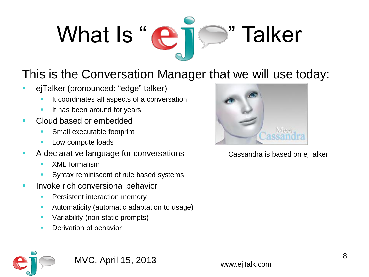## What Is "C " Talker

### This is the Conversation Manager that we will use today:

- ejTalker (pronounced: "edge" talker)
	- **If coordinates all aspects of a conversation**
	- **If has been around for years**
- Cloud based or embedded
	- **Small executable footprint**
	- **Low compute loads**
- A declarative language for conversations
	- **XML** formalism
	- Syntax reminiscent of rule based systems
- **Invoke rich conversional behavior** 
	- **Persistent interaction memory**
	- **Automaticity (automatic adaptation to usage)**
	- **Variability (non-static prompts)**
	- **Derivation of behavior**

![](_page_7_Picture_16.jpeg)

Cassandra is based on ejTalker

![](_page_7_Picture_18.jpeg)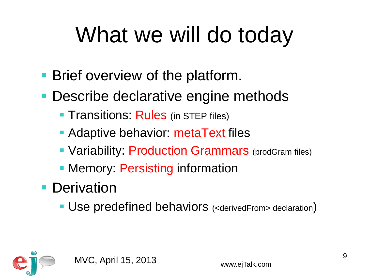# What we will do today

- **Brief overview of the platform.**
- **Describe declarative engine methods** 
	- **Transitions: Rules** (in STEP files)
	- **Adaptive behavior: metaText files**
	- Variability: Production Grammars (prodGram files)
	- **Memory: Persisting information**
- **Derivation** 
	- Use predefined behaviors (<derivedFrom> declaration)

![](_page_8_Picture_9.jpeg)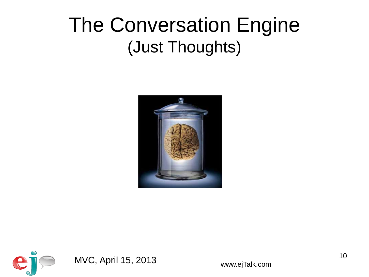### The Conversation Engine (Just Thoughts)

![](_page_9_Picture_1.jpeg)

![](_page_9_Picture_2.jpeg)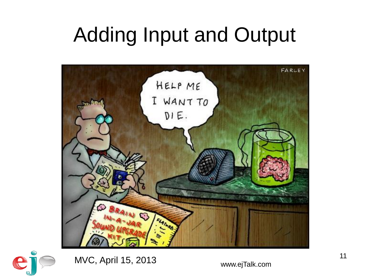## Adding Input and Output

![](_page_10_Picture_1.jpeg)

![](_page_10_Picture_2.jpeg)

MVC, April 15, 2013 www.ejTalk.com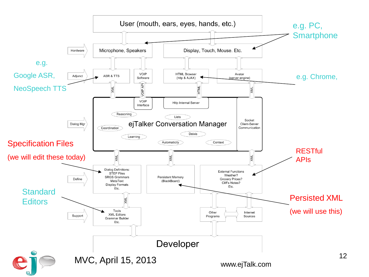![](_page_11_Figure_0.jpeg)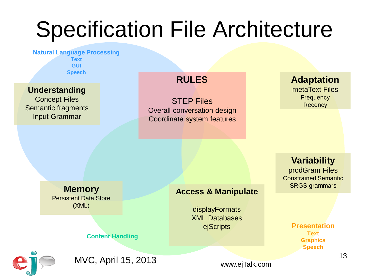## Specification File Architecture

**Natural Language Processing Text GUI Speech**

### **Understanding**

Concept Files Semantic fragments Input Grammar

### **RULES**

STEP Files Overall conversation design Coordinate system features

### **Adaptation**

metaText Files **Frequency Recency** 

**Variability**

prodGram Files Constrained Semantic SRGS grammars

**Memory** Persistent Data Store (XML)

### **Access & Manipulate**

displayFormats XML Databases

### ejScripts **Presentation Text Graphics Speech**

![](_page_12_Picture_14.jpeg)

MVC, April 15, 2013

**Content Handling**

www.ejTalk.com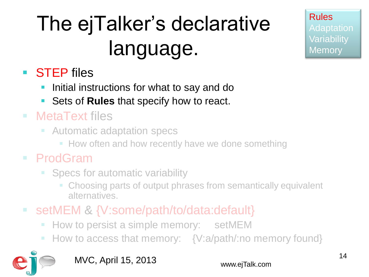## The ejTalker's declarative language.

Rules Adaptation **Variability Memory** 

### ■ **STEP** files

- **If** Initial instructions for what to say and do
- Sets of **Rules** that specify how to react.

### MetaText files

- **E** Automatic adaptation specs
	- **How often and how recently have we done something**

### ProdGram

- Specs for automatic variability
	- Choosing parts of output phrases from semantically equivalent alternatives.
- setMEM & {V:some/path/to/data:default}
	- **How to persist a simple memory:** setMEM
	- How to access that memory: {V:a/path/:no memory found}

![](_page_13_Picture_14.jpeg)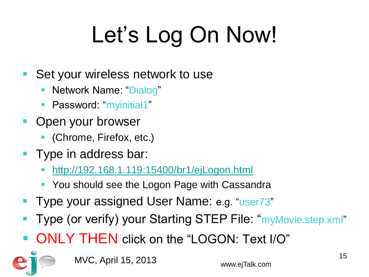# Let's Log On Now!

- Set your wireless network to use
	- Network Name: "Dialog"
	- Password: "myinitial1"
- **Open your browser** 
	- (Chrome, Firefox, etc.)
- **Type in address bar:** 
	- <http://192.168.1.119:15400/br1/ejLogon.html>
	- You should see the Logon Page with Cassandra
- **Type your assigned User Name: e.g. "user73"**
- Type (or verify) your Starting STEP File: "myMovie.step.xml"
- ONLY THEN click on the "LOGON: Text I/O"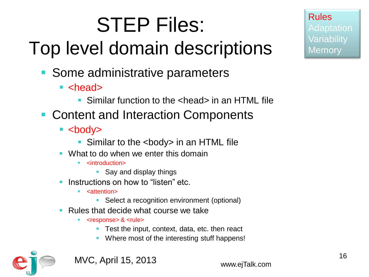# STEP Files:

## Top level domain descriptions

- **Some administrative parameters** 
	- $\blacksquare$  <head>
		- Similar function to the <head> in an HTML file
- Content and Interaction Components
	- $\blacktriangleright$  <br/>body>
		- Similar to the <body> in an HTML file
	- **What to do when we enter this domain** 
		- <introduction>
			- **Say and display things**
	- Instructions on how to "listen" etc.
		- <attention>
			- Select a recognition environment (optional)
	- Rules that decide what course we take
		- <response> & <rule>
			- Test the input, context, data, etc. then react
			- Where most of the interesting stuff happens!

![](_page_15_Picture_18.jpeg)

MVC, April 15, 2013 www.ejTalk.com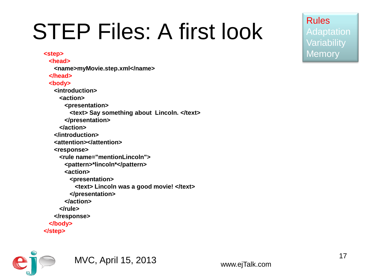## STEP Files: A first look

**<step> <head> <name>myMovie.step.xml</name> </head> <body> <introduction> <action> <presentation> <text> Say something about Lincoln. </text> </presentation> </action> </introduction> <attention></attention> <response> <rule name="mentionLincoln"> <pattern>\*lincoln\*</pattern> <action> <presentation> <text> Lincoln was a good movie! </text> </presentation> </action> </rule> </response> </body> </step>**

![](_page_16_Picture_2.jpeg)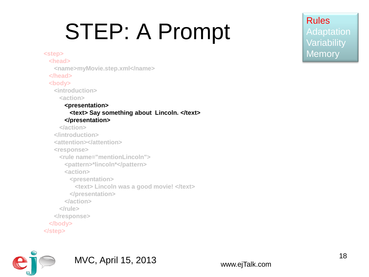# STEP: A Prompt

**<step> <head> <name>myMovie.step.xml</name> </head> <body> <introduction> <action> <presentation> <text> Say something about Lincoln. </text> </presentation> </action> </introduction> <attention></attention> <response> <rule name="mentionLincoln"> <pattern>\*lincoln\*</pattern> <action> <presentation> <text> Lincoln was a good movie! </text> </presentation> </action> </rule> </response> </body> </step>**

![](_page_17_Picture_2.jpeg)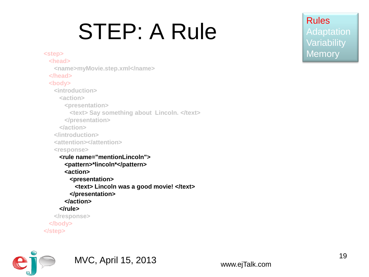# STEP: A Rule

**<step> <head> <name>myMovie.step.xml</name> </head> <body> <introduction> <action> <presentation> <text> Say something about Lincoln. </text> </presentation> </action> </introduction> <attention></attention> <response> <rule name="mentionLincoln"> <pattern>\*lincoln\*</pattern> <action> <presentation> <text> Lincoln was a good movie! </text> </presentation> </action> </rule> </response> </body> </step>**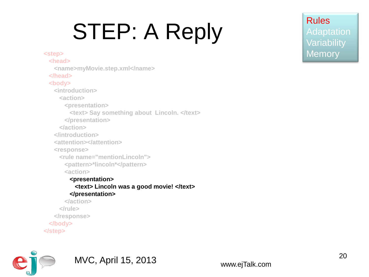# STEP: A Reply

**<step> <head> <name>myMovie.step.xml</name> </head> <body> <introduction> <action> <presentation> <text> Say something about Lincoln. </text> </presentation> </action> </introduction> <attention></attention> <response> <rule name="mentionLincoln"> <pattern>\*lincoln\*</pattern> <action> <presentation> <text> Lincoln was a good movie! </text> </presentation> </action> </rule> </response> </body> </step>**

![](_page_19_Picture_2.jpeg)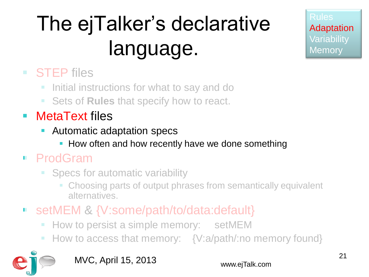## The ejTalker's declarative language.

Rules Adaptation **Variability Memory** 

### ■ STEP files

- **If** Initial instructions for what to say and do
- **Sets of Rules that specify how to react.**
- MetaText files
	- Automatic adaptation specs
		- **How often and how recently have we done something**

### ProdGram

- Specs for automatic variability
	- Choosing parts of output phrases from semantically equivalent alternatives.
- setMEM & {V:some/path/to/data:default}
	- **How to persist a simple memory: setMEM**
	- How to access that memory: {V:a/path/:no memory found}

![](_page_20_Picture_14.jpeg)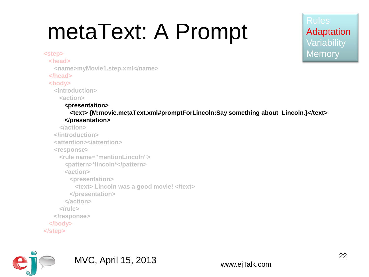# metaText: A Prompt

### **<step>**

 **<head>**

 **<name>myMovie1.step.xml</name>**

 **</head>**

### **<body>**

 **<introduction>**

 **<action>**

### **<presentation>**

 **<text> {M:movie.metaText.xml#promptForLincoln:Say something about Lincoln.}</text> </presentation>**

 **</action> </introduction> <attention></attention> <response> <rule name="mentionLincoln"> <pattern>\*lincoln\*</pattern> <action> <presentation> <text> Lincoln was a good movie! </text> </presentation> </action> </rule> </response> </body> </step>**

![](_page_21_Picture_11.jpeg)

### MVC, April 15, 2013 www.ejTalk.com

Rules

Adaptation

**Variability** 

**Memory**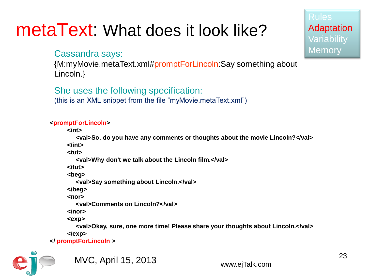### metaText: What does it look like?

### Cassandra says:

{M:myMovie.metaText.xml#promptForLincoln:Say something about Lincoln.}

### She uses the following specification:

(this is an XML snippet from the file "myMovie.metaText.xml")

### **<promptForLincoln>**

 **<int>**

 **<val>So, do you have any comments or thoughts about the movie Lincoln?</val> </int>**

 **<tut>**

 **<val>Why don't we talk about the Lincoln film.</val>**

 **</tut>**

 **<beg>**

 **<val>Say something about Lincoln.</val>**

 **</beg>**

 **<nor>**

 **<val>Comments on Lincoln?</val>**

 **</nor>**

 **<exp>**

 **<val>Okay, sure, one more time! Please share your thoughts about Lincoln.</val> </exp>** 

**</ promptForLincoln >**

![](_page_22_Picture_20.jpeg)

Rules

Adaptation

**Variability** 

**Memory**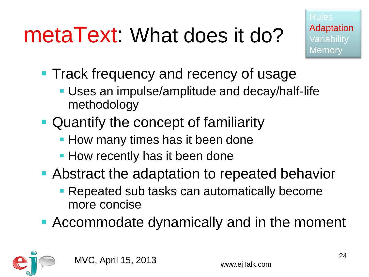# metaText: What does it do?

- **Track frequency and recency of usage** 
	- Uses an impulse/amplitude and decay/half-life methodology
- **Quantify the concept of familiarity** 
	- **How many times has it been done**
	- **How recently has it been done**
- **Abstract the adaptation to repeated behavior** 
	- Repeated sub tasks can automatically become more concise
- Accommodate dynamically and in the moment

![](_page_23_Picture_10.jpeg)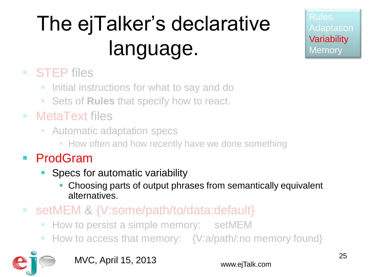## The ejTalker's declarative language.

Rules Adaptation **Variability Memory** 

### ■ STEP files

- **If** Initial instructions for what to say and do
- **Sets of Rules that specify how to react.**
- MetaText files
	- **E** Automatic adaptation specs
		- **How often and how recently have we done something**
- ProdGram
	- Specs for automatic variability
		- Choosing parts of output phrases from semantically equivalent alternatives.
- setMEM & {V:some/path/to/data:default}
	- **How to persist a simple memory: setMEM**
	- How to access that memory: {V:a/path/:no memory found}

![](_page_24_Picture_14.jpeg)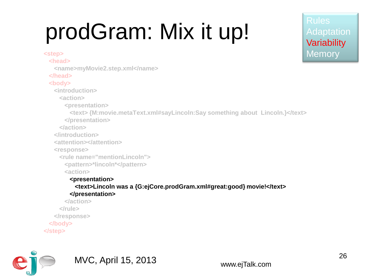# prodGram: Mix it up!

Adaptation **Variability Memory** 

 **<name>myMovie2.step.xml</name> </head> <body> <introduction> <action> <presentation> <text> {M:movie.metaText.xml#sayLincoln:Say something about Lincoln.}</text> </presentation> </action> </introduction> <attention></attention> <response> <rule name="mentionLincoln"> <pattern>\*lincoln\*</pattern> <action> <presentation> <text>Lincoln was a {G:ejCore.prodGram.xml#great:good} movie!</text> </presentation> </action> </rule> </response>**

- **</body>**
- **</step>**

**<step> <head>**

![](_page_25_Picture_5.jpeg)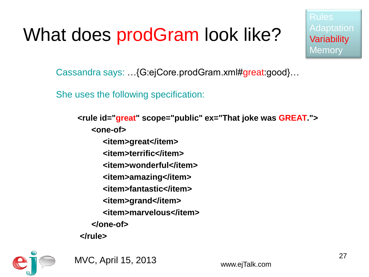### What does prodGram look like?

Rules Adaptation **Variability Memory** 

Cassandra says: …{G:ejCore.prodGram.xml#great:good}…

She uses the following specification:

**<rule id="great" scope="public" ex="That joke was GREAT."> <one-of> <item>great</item> <item>terrific</item> <item>wonderful</item> <item>amazing</item> <item>fantastic</item> <item>grand</item> <item>marvelous</item> </one-of>**

**</rule>**

![](_page_26_Picture_6.jpeg)

MVC, April 15, 2013 www.ejTalk.com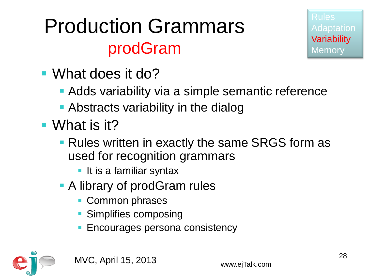### Production Grammars prodGram

![](_page_27_Picture_1.jpeg)

- What does it do?
	- **Adds variability via a simple semantic reference**
	- Abstracts variability in the dialog
- What is it?
	- **Rules written in exactly the same SRGS form as** used for recognition grammars
		- **If it is a familiar syntax**
	- A library of prodGram rules
		- **Common phrases**
		- **Simplifies composing**
		- Encourages persona consistency

![](_page_27_Picture_12.jpeg)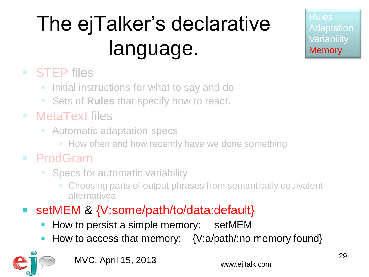## The ejTalker's declarative language.

Rules Adaptation **Variability Memory** 

### ■ STEP files

- **If** Initial instructions for what to say and do
- **Sets of Rules that specify how to react.**
- MetaText files
	- **E** Automatic adaptation specs
		- **How often and how recently have we done something**

### ProdGram

- Specs for automatic variability
	- Choosing parts of output phrases from semantically equivalent alternatives.
- setMEM & {V:some/path/to/data:default}
	- How to persist a simple memory: setMEM
	- How to access that memory: {V:a/path/:no memory found}

![](_page_28_Picture_14.jpeg)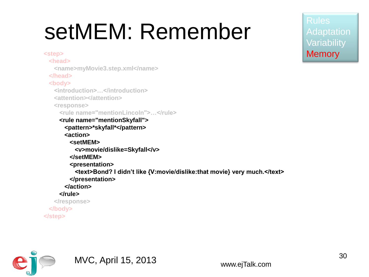# setMEM: Remember

**<step> <head> <name>myMovie3.step.xml</name> </head> <body> <introduction>…</introduction> <attention></attention> <response> <rule name="mentionLincoln">…</rule> <rule name="mentionSkyfall"> <pattern>\*skyfall\*</pattern> <action> <setMEM> <v>movie/dislike=Skyfall</v> </setMEM> <presentation> <text>Bond? I didn't like {V:movie/dislike:that movie} very much.</text> </presentation> </action> </rule> </response> </body> </step>**

![](_page_29_Picture_2.jpeg)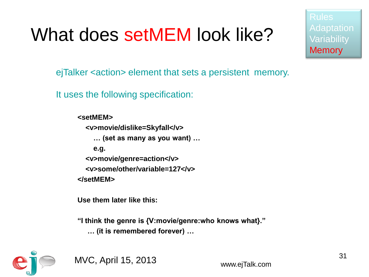### What does setMEM look like?

Adaptation **Variability Memory** 

ejTalker <action> element that sets a persistent memory.

It uses the following specification:

**<setMEM> <v>movie/dislike=Skyfall</v> … (set as many as you want) … e.g. <v>movie/genre=action</v> <v>some/other/variable=127</v> </setMEM>**

**Use them later like this:**

**"I think the genre is {V:movie/genre:who knows what}." … (it is remembered forever) …**

![](_page_30_Picture_7.jpeg)

MVC, April 15, 2013 www.ejTalk.com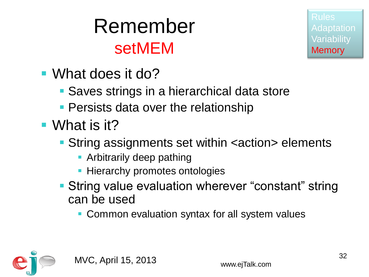### Remember setMEM

- What does it do?
	- **Saves strings in a hierarchical data store**
	- **Persists data over the relationship**
- What is it?
	- **String assignments set within <action> elements** 
		- **-** Arbitrarily deep pathing
		- **Hierarchy promotes ontologies**
	- **String value evaluation wherever "constant" string** can be used
		- **Common evaluation syntax for all system values**

![](_page_31_Picture_11.jpeg)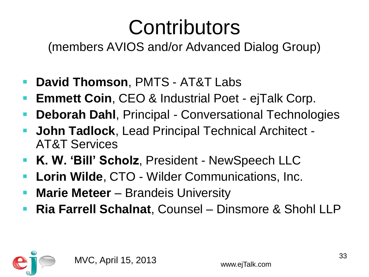## **Contributors**

(members AVIOS and/or Advanced Dialog Group)

- **David Thomson**, PMTS AT&T Labs
- **Emmett Coin**, CEO & Industrial Poet ejTalk Corp.
- **Deborah Dahl**, Principal Conversational Technologies
- **John Tadlock**, Lead Principal Technical Architect AT&T Services
- **K. W. 'Bill' Scholz**, President NewSpeech LLC
- **Lorin Wilde**, CTO Wilder Communications, Inc.
- **Marie Meteer** Brandeis University
- **Ria Farrell Schalnat**, Counsel Dinsmore & Shohl LLP

![](_page_32_Picture_10.jpeg)